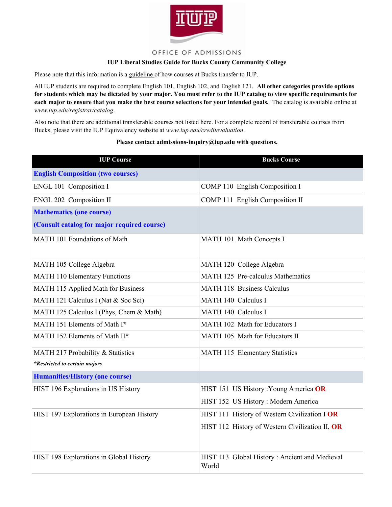

## OFFICE OF ADMISSIONS

## **IUP Liberal Studies Guide for Bucks County Community College**

Please note that this information is a guideline of how courses at Bucks transfer to IUP.

All IUP students are required to complete English 101, English 102, and English 121. **All other categories provide options for students which may be dictated by your major. You must refer to the IUP catalog to view specific requirements for each major to ensure that you make the best course selections for your intended goals.** The catalog is available online at *www.iup.edu/registrar/catalog*.

Also note that there are additional transferable courses not listed here. For a complete record of transferable courses from Bucks, please visit the IUP Equivalency website at *www.iup.edu/creditevaluation*.

## **Please contact admissions-inquiry@iup.edu with questions.**

| <b>IUP Course</b>                           | <b>Bucks Course</b>                                    |
|---------------------------------------------|--------------------------------------------------------|
| <b>English Composition (two courses)</b>    |                                                        |
| ENGL 101 Composition I                      | COMP 110 English Composition I                         |
| ENGL 202 Composition II                     | COMP 111 English Composition II                        |
| <b>Mathematics (one course)</b>             |                                                        |
| (Consult catalog for major required course) |                                                        |
| MATH 101 Foundations of Math                | MATH 101 Math Concepts I                               |
| MATH 105 College Algebra                    | MATH 120 College Algebra                               |
| <b>MATH 110 Elementary Functions</b>        | MATH 125 Pre-calculus Mathematics                      |
| MATH 115 Applied Math for Business          | <b>MATH 118 Business Calculus</b>                      |
| MATH 121 Calculus I (Nat & Soc Sci)         | MATH 140 Calculus I                                    |
| MATH 125 Calculus I (Phys, Chem & Math)     | MATH 140 Calculus I                                    |
| MATH 151 Elements of Math I*                | MATH 102 Math for Educators I                          |
| MATH 152 Elements of Math II*               | MATH 105 Math for Educators II                         |
| MATH 217 Probability & Statistics           | MATH 115 Elementary Statistics                         |
| *Restricted to certain majors               |                                                        |
| <b>Humanities/History (one course)</b>      |                                                        |
| HIST 196 Explorations in US History         | HIST 151 US History : Young America OR                 |
|                                             | HIST 152 US History : Modern America                   |
| HIST 197 Explorations in European History   | HIST 111 History of Western Civilization I OR          |
|                                             | HIST 112 History of Western Civilization II, OR        |
| HIST 198 Explorations in Global History     | HIST 113 Global History: Ancient and Medieval<br>World |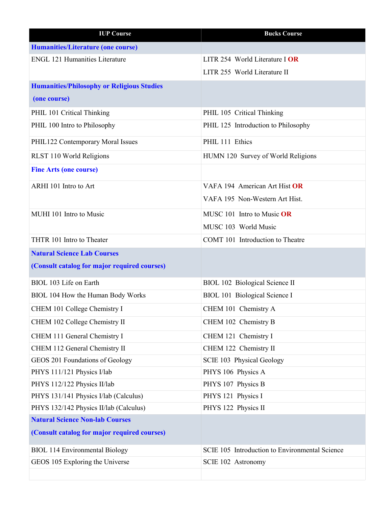| <b>IUP Course</b>                                 | <b>Bucks Course</b>                            |
|---------------------------------------------------|------------------------------------------------|
| <b>Humanities/Literature (one course)</b>         |                                                |
| <b>ENGL 121 Humanities Literature</b>             | LITR 254 World Literature I OR                 |
|                                                   | LITR 255 World Literature II                   |
| <b>Humanities/Philosophy or Religious Studies</b> |                                                |
| (one course)                                      |                                                |
| PHIL 101 Critical Thinking                        | PHIL 105 Critical Thinking                     |
| PHIL 100 Intro to Philosophy                      | PHIL 125 Introduction to Philosophy            |
| PHIL122 Contemporary Moral Issues                 | PHIL 111 Ethics                                |
| RLST 110 World Religions                          | HUMN 120 Survey of World Religions             |
| <b>Fine Arts (one course)</b>                     |                                                |
| ARHI 101 Intro to Art                             | VAFA 194 American Art Hist OR                  |
|                                                   | VAFA 195 Non-Western Art Hist.                 |
| MUHI 101 Intro to Music                           | MUSC 101 Intro to Music OR                     |
|                                                   | MUSC 103 World Music                           |
| THTR 101 Intro to Theater                         | COMT 101 Introduction to Theatre               |
| <b>Natural Science Lab Courses</b>                |                                                |
| (Consult catalog for major required courses)      |                                                |
| BIOL 103 Life on Earth                            | BIOL 102 Biological Science II                 |
| BIOL 104 How the Human Body Works                 | <b>BIOL 101 Biological Science I</b>           |
| CHEM 101 College Chemistry I                      | CHEM 101 Chemistry A                           |
| CHEM 102 College Chemistry II                     | CHEM 102 Chemistry B                           |
| CHEM 111 General Chemistry I                      | CHEM 121 Chemistry I                           |
| CHEM 112 General Chemistry II                     | CHEM 122 Chemistry II                          |
| GEOS 201 Foundations of Geology                   | SCIE 103 Physical Geology                      |
| PHYS 111/121 Physics I/lab                        | PHYS 106 Physics A                             |
| PHYS 112/122 Physics II/lab                       | PHYS 107 Physics B                             |
| PHYS 131/141 Physics I/lab (Calculus)             | PHYS 121 Physics I                             |
| PHYS 132/142 Physics II/lab (Calculus)            | PHYS 122 Physics II                            |
| <b>Natural Science Non-lab Courses</b>            |                                                |
| (Consult catalog for major required courses)      |                                                |
| <b>BIOL 114 Environmental Biology</b>             | SCIE 105 Introduction to Environmental Science |
| GEOS 105 Exploring the Universe                   | SCIE 102 Astronomy                             |
|                                                   |                                                |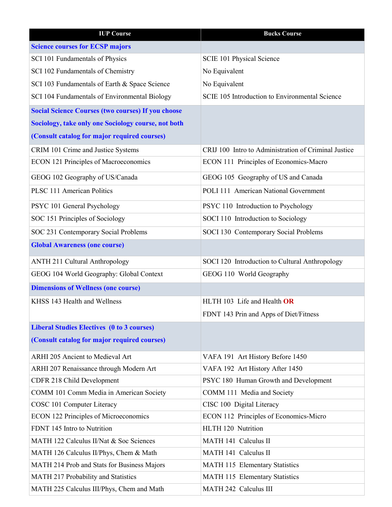| <b>IUP Course</b>                                         | <b>Bucks Course</b>                                  |
|-----------------------------------------------------------|------------------------------------------------------|
| <b>Science courses for ECSP majors</b>                    |                                                      |
| SCI 101 Fundamentals of Physics                           | SCIE 101 Physical Science                            |
| SCI 102 Fundamentals of Chemistry                         | No Equivalent                                        |
| SCI 103 Fundamentals of Earth & Space Science             | No Equivalent                                        |
| SCI 104 Fundamentals of Environmental Biology             | SCIE 105 Introduction to Environmental Science       |
| <b>Social Science Courses (two courses) If you choose</b> |                                                      |
| Sociology, take only one Sociology course, not both       |                                                      |
| (Consult catalog for major required courses)              |                                                      |
| CRIM 101 Crime and Justice Systems                        | CRIJ 100 Intro to Administration of Criminal Justice |
| <b>ECON 121 Principles of Macroeconomics</b>              | ECON 111 Principles of Economics-Macro               |
| GEOG 102 Geography of US/Canada                           | GEOG 105 Geography of US and Canada                  |
| PLSC 111 American Politics                                | POLI 111 American National Government                |
| PSYC 101 General Psychology                               | PSYC 110 Introduction to Psychology                  |
| SOC 151 Principles of Sociology                           | SOCI 110 Introduction to Sociology                   |
| SOC 231 Contemporary Social Problems                      | SOCI 130 Contemporary Social Problems                |
| <b>Global Awareness (one course)</b>                      |                                                      |
| <b>ANTH 211 Cultural Anthropology</b>                     | SOCI 120 Introduction to Cultural Anthropology       |
| GEOG 104 World Geography: Global Context                  | GEOG 110 World Geography                             |
| <b>Dimensions of Wellness (one course)</b>                |                                                      |
| KHSS 143 Health and Wellness                              | HLTH 103 Life and Health OR                          |
|                                                           | FDNT 143 Prin and Apps of Diet/Fitness               |
| <b>Liberal Studies Electives (0 to 3 courses)</b>         |                                                      |
| (Consult catalog for major required courses)              |                                                      |
| ARHI 205 Ancient to Medieval Art                          | VAFA 191 Art History Before 1450                     |
| ARHI 207 Renaissance through Modern Art                   | VAFA 192 Art History After 1450                      |
| CDFR 218 Child Development                                | PSYC 180 Human Growth and Development                |
| COMM 101 Comm Media in American Society                   | COMM 111 Media and Society                           |
| COSC 101 Computer Literacy                                | CISC 100 Digital Literacy                            |
| <b>ECON 122 Principles of Microeconomics</b>              | ECON 112 Principles of Economics-Micro               |
| FDNT 145 Intro to Nutrition                               | HLTH 120 Nutrition                                   |
| MATH 122 Calculus II/Nat & Soc Sciences                   | MATH 141 Calculus II                                 |
| MATH 126 Calculus II/Phys, Chem & Math                    | MATH 141 Calculus II                                 |
| MATH 214 Prob and Stats for Business Majors               | MATH 115 Elementary Statistics                       |
| MATH 217 Probability and Statistics                       | MATH 115 Elementary Statistics                       |
| MATH 225 Calculus III/Phys, Chem and Math                 | MATH 242 Calculus III                                |